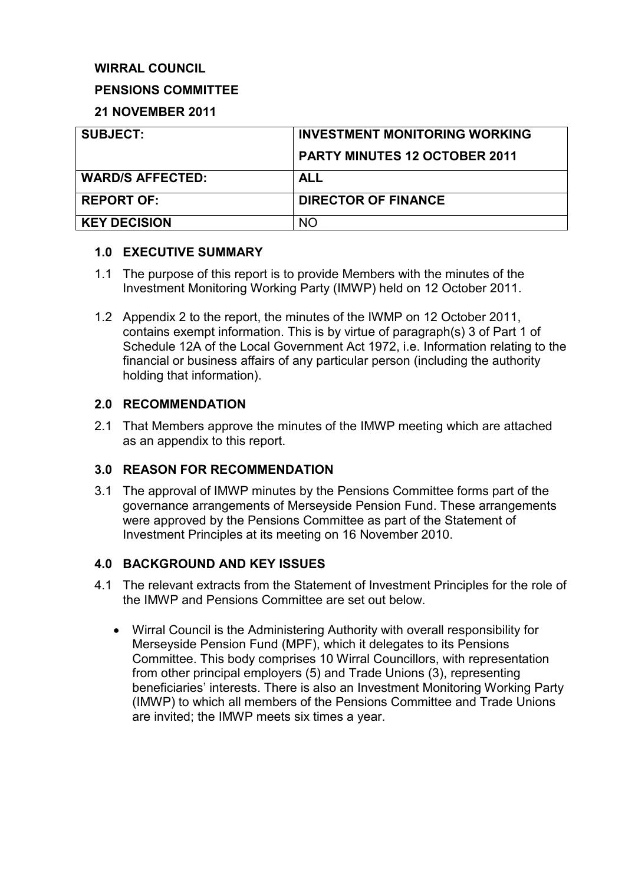# **WIRRAL COUNCIL**

## **PENSIONS COMMITTEE**

## **21 NOVEMBER 2011**

| <b>SUBJECT:</b>         | <b>INVESTMENT MONITORING WORKING</b> |
|-------------------------|--------------------------------------|
|                         | <b>PARTY MINUTES 12 OCTOBER 2011</b> |
| <b>WARD/S AFFECTED:</b> | <b>ALL</b>                           |
| <b>REPORT OF:</b>       | <b>DIRECTOR OF FINANCE</b>           |
| <b>KEY DECISION</b>     | <b>NO</b>                            |

## **1.0 EXECUTIVE SUMMARY**

- 1.1 The purpose of this report is to provide Members with the minutes of the Investment Monitoring Working Party (IMWP) held on 12 October 2011.
- 1.2 Appendix 2 to the report, the minutes of the IWMP on 12 October 2011, contains exempt information. This is by virtue of paragraph(s) 3 of Part 1 of Schedule 12A of the Local Government Act 1972, i.e. Information relating to the financial or business affairs of any particular person (including the authority holding that information).

## **2.0 RECOMMENDATION**

2.1 That Members approve the minutes of the IMWP meeting which are attached as an appendix to this report.

# **3.0 REASON FOR RECOMMENDATION**

3.1 The approval of IMWP minutes by the Pensions Committee forms part of the governance arrangements of Merseyside Pension Fund. These arrangements were approved by the Pensions Committee as part of the Statement of Investment Principles at its meeting on 16 November 2010.

# **4.0 BACKGROUND AND KEY ISSUES**

- 4.1 The relevant extracts from the Statement of Investment Principles for the role of the IMWP and Pensions Committee are set out below.
	- Wirral Council is the Administering Authority with overall responsibility for Merseyside Pension Fund (MPF), which it delegates to its Pensions Committee. This body comprises 10 Wirral Councillors, with representation from other principal employers (5) and Trade Unions (3), representing beneficiaries' interests. There is also an Investment Monitoring Working Party (IMWP) to which all members of the Pensions Committee and Trade Unions are invited; the IMWP meets six times a year.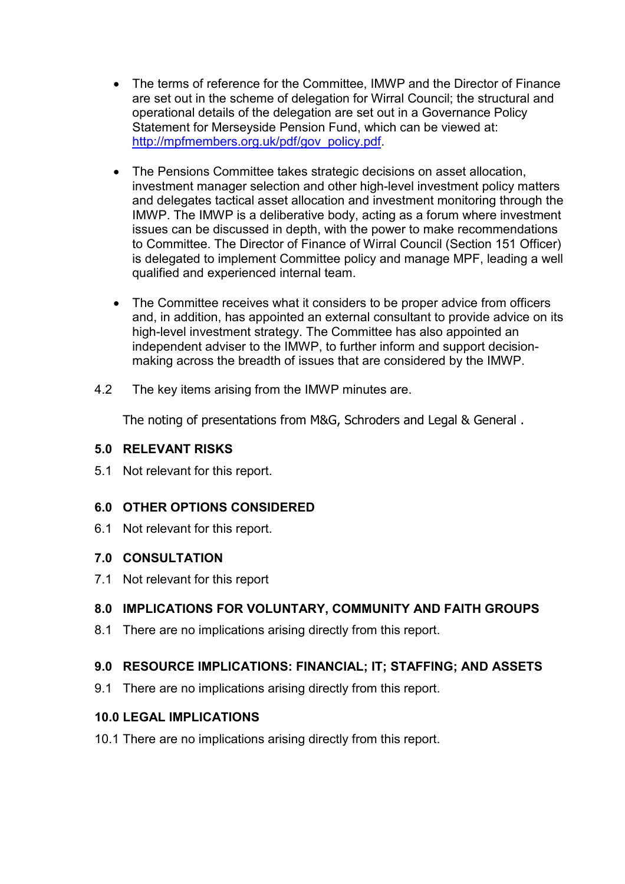- The terms of reference for the Committee, IMWP and the Director of Finance are set out in the scheme of delegation for Wirral Council; the structural and operational details of the delegation are set out in a Governance Policy Statement for Merseyside Pension Fund, which can be viewed at: http://mpfmembers.org.uk/pdf/gov\_policy.pdf
- The Pensions Committee takes strategic decisions on asset allocation, investment manager selection and other high-level investment policy matters and delegates tactical asset allocation and investment monitoring through the IMWP. The IMWP is a deliberative body, acting as a forum where investment issues can be discussed in depth, with the power to make recommendations to Committee. The Director of Finance of Wirral Council (Section 151 Officer) is delegated to implement Committee policy and manage MPF, leading a well qualified and experienced internal team.
- The Committee receives what it considers to be proper advice from officers and, in addition, has appointed an external consultant to provide advice on its high-level investment strategy. The Committee has also appointed an independent adviser to the IMWP, to further inform and support decisionmaking across the breadth of issues that are considered by the IMWP.
- 4.2 The key items arising from the IMWP minutes are.

The noting of presentations from M&G, Schroders and Legal & General .

#### **5.0 RELEVANT RISKS**

5.1 Not relevant for this report.

# **6.0 OTHER OPTIONS CONSIDERED**

6.1 Not relevant for this report.

#### **7.0 CONSULTATION**

7.1 Not relevant for this report

# **8.0 IMPLICATIONS FOR VOLUNTARY, COMMUNITY AND FAITH GROUPS**

8.1 There are no implications arising directly from this report.

# **9.0 RESOURCE IMPLICATIONS: FINANCIAL; IT; STAFFING; AND ASSETS**

9.1 There are no implications arising directly from this report.

#### **10.0 LEGAL IMPLICATIONS**

10.1 There are no implications arising directly from this report.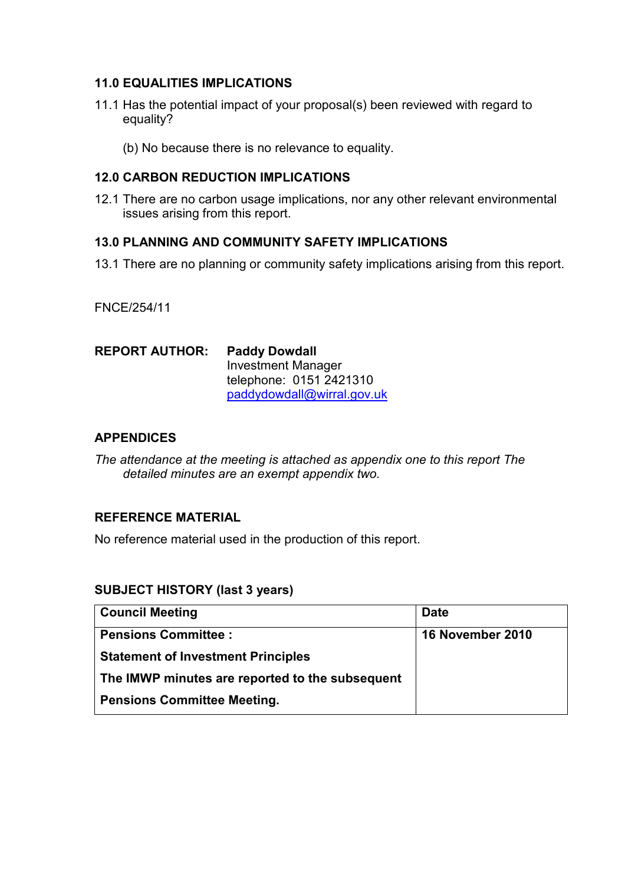## **11.0 EQUALITIES IMPLICATIONS**

- 11.1 Has the potential impact of your proposal(s) been reviewed with regard to equality?
	- (b) No because there is no relevance to equality.

#### **12.0 CARBON REDUCTION IMPLICATIONS**

12.1 There are no carbon usage implications, nor any other relevant environmental issues arising from this report.

## **13.0 PLANNING AND COMMUNITY SAFETY IMPLICATIONS**

13.1 There are no planning or community safety implications arising from this report.

FNCE/254/11

| <b>REPORT AUTHOR:</b> | <b>Paddy Dowdall</b>       |  |
|-----------------------|----------------------------|--|
|                       | <b>Investment Manager</b>  |  |
|                       | telephone: 0151 2421310    |  |
|                       | paddydowdall@wirral.gov.uk |  |

#### **APPENDICES**

*The attendance at the meeting is attached as appendix one to this report The detailed minutes are an exempt appendix two.* 

## **REFERENCE MATERIAL**

No reference material used in the production of this report.

#### **SUBJECT HISTORY (last 3 years)**

| <b>Council Meeting</b>                          | <b>Date</b>             |
|-------------------------------------------------|-------------------------|
| <b>Pensions Committee:</b>                      | <b>16 November 2010</b> |
| <b>Statement of Investment Principles</b>       |                         |
| The IMWP minutes are reported to the subsequent |                         |
| <b>Pensions Committee Meeting.</b>              |                         |